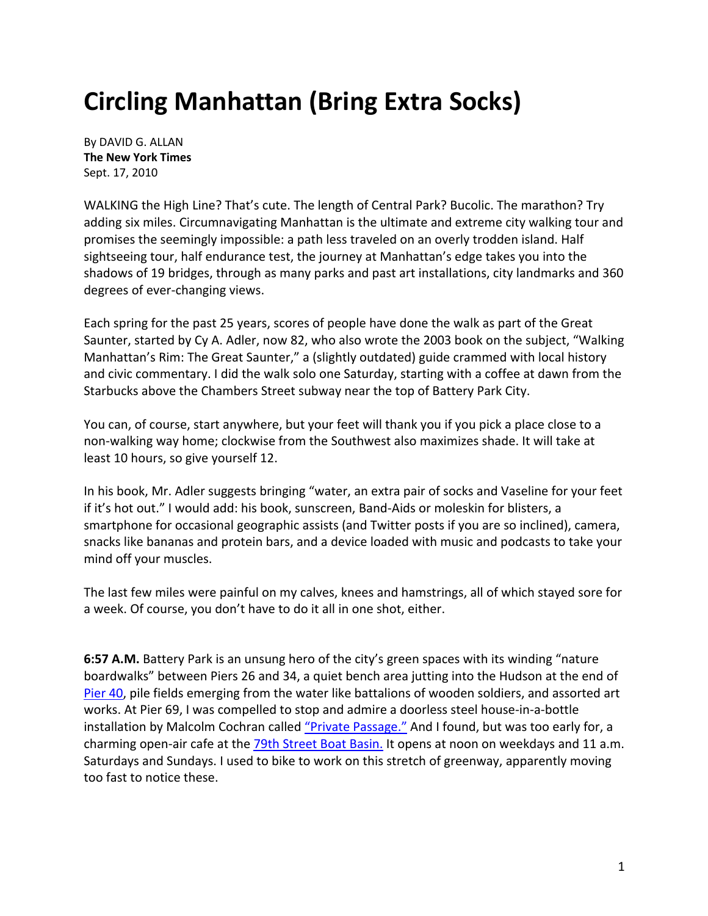## **Circling Manhattan (Bring Extra Socks)**

By DAVID G. ALLAN **The New York Times** Sept. 17, 2010

WALKING the High Line? That's cute. The length of Central Park? Bucolic. The marathon? Try adding six miles. Circumnavigating Manhattan is the ultimate and extreme city walking tour and promises the seemingly impossible: a path less traveled on an overly trodden island. Half sightseeing tour, half endurance test, the journey at Manhattan's edge takes you into the shadows of 19 bridges, through as many parks and past art installations, city landmarks and 360 degrees of ever-changing views.

Each spring for the past 25 years, scores of people have done the walk as part of the Great Saunter, started by Cy A. Adler, now 82, who also wrote the 2003 book on the subject, "Walking Manhattan's Rim: The Great Saunter," a (slightly outdated) guide crammed with local history and civic commentary. I did the walk solo one Saturday, starting with a coffee at dawn from the Starbucks above the Chambers Street subway near the top of Battery Park City.

You can, of course, start anywhere, but your feet will thank you if you pick a place close to a non-walking way home; clockwise from the Southwest also maximizes shade. It will take at least 10 hours, so give yourself 12.

In his book, Mr. Adler suggests bringing "water, an extra pair of socks and Vaseline for your feet if it's hot out." I would add: his book, sunscreen, Band-Aids or moleskin for blisters, a smartphone for occasional geographic assists (and Twitter posts if you are so inclined), camera, snacks like bananas and protein bars, and a device loaded with music and podcasts to take your mind off your muscles.

The last few miles were painful on my calves, knees and hamstrings, all of which stayed sore for a week. Of course, you don't have to do it all in one shot, either.

**6:57 A.M.** Battery Park is an unsung hero of the city's green spaces with its winding "nature boardwalks" between Piers 26 and 34, a quiet bench area jutting into the Hudson at the end of Pier 40, pile fields emerging from the water like battalions of wooden soldiers, and assorted art works. At Pier 69, I was compelled to stop and admire a doorless steel house-in-a-bottle installation by Malcolm Cochran called "Private Passage." And I found, but was too early for, a charming open-air cafe at the 79th Street Boat Basin. It opens at noon on weekdays and 11 a.m. Saturdays and Sundays. I used to bike to work on this stretch of greenway, apparently moving too fast to notice these.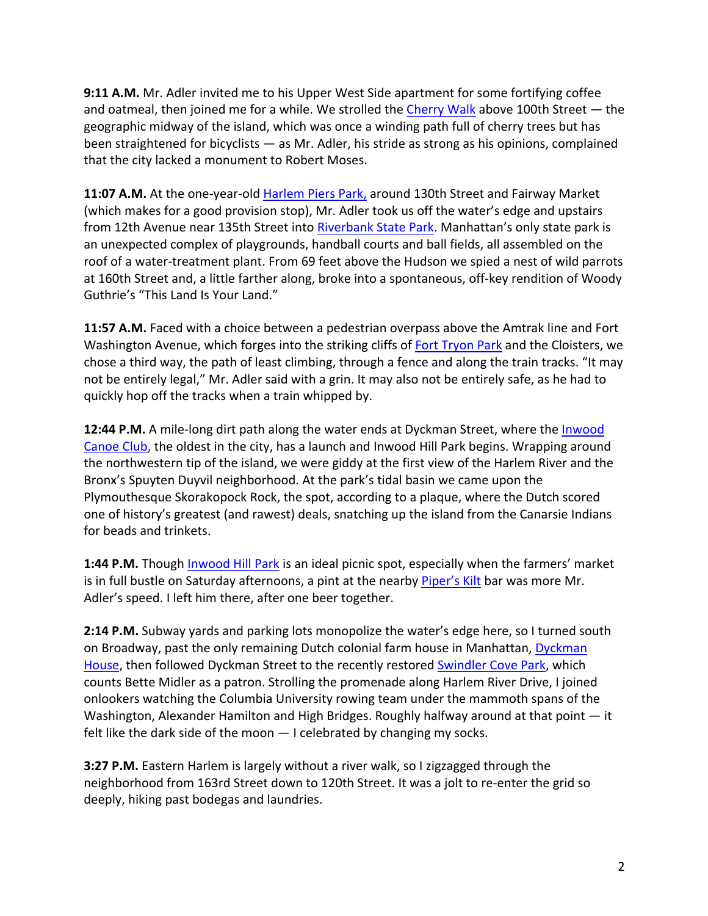**9:11 A.M.** Mr. Adler invited me to his Upper West Side apartment for some fortifying coffee and oatmeal, then joined me for a while. We strolled the Cherry Walk above 100th Street — the geographic midway of the island, which was once a winding path full of cherry trees but has been straightened for bicyclists — as Mr. Adler, his stride as strong as his opinions, complained that the city lacked a monument to Robert Moses.

**11:07 A.M.** At the one-year-old Harlem Piers Park, around 130th Street and Fairway Market (which makes for a good provision stop), Mr. Adler took us off the water's edge and upstairs from 12th Avenue near 135th Street into Riverbank State Park. Manhattan's only state park is an unexpected complex of playgrounds, handball courts and ball fields, all assembled on the roof of a water-treatment plant. From 69 feet above the Hudson we spied a nest of wild parrots at 160th Street and, a little farther along, broke into a spontaneous, off-key rendition of Woody Guthrie's "This Land Is Your Land."

**11:57 A.M.** Faced with a choice between a pedestrian overpass above the Amtrak line and Fort Washington Avenue, which forges into the striking cliffs of Fort Tryon Park and the Cloisters, we chose a third way, the path of least climbing, through a fence and along the train tracks. "It may not be entirely legal," Mr. Adler said with a grin. It may also not be entirely safe, as he had to quickly hop off the tracks when a train whipped by.

**12:44 P.M.** A mile-long dirt path along the water ends at Dyckman Street, where the Inwood Canoe Club, the oldest in the city, has a launch and Inwood Hill Park begins. Wrapping around the northwestern tip of the island, we were giddy at the first view of the Harlem River and the Bronx's Spuyten Duyvil neighborhood. At the park's tidal basin we came upon the Plymouthesque Skorakopock Rock, the spot, according to a plaque, where the Dutch scored one of history's greatest (and rawest) deals, snatching up the island from the Canarsie Indians for beads and trinkets.

**1:44 P.M.** Though Inwood Hill Park is an ideal picnic spot, especially when the farmers' market is in full bustle on Saturday afternoons, a pint at the nearby Piper's Kilt bar was more Mr. Adler's speed. I left him there, after one beer together.

**2:14 P.M.** Subway yards and parking lots monopolize the water's edge here, so I turned south on Broadway, past the only remaining Dutch colonial farm house in Manhattan, Dyckman House, then followed Dyckman Street to the recently restored Swindler Cove Park, which counts Bette Midler as a patron. Strolling the promenade along Harlem River Drive, I joined onlookers watching the Columbia University rowing team under the mammoth spans of the Washington, Alexander Hamilton and High Bridges. Roughly halfway around at that point — it felt like the dark side of the moon — I celebrated by changing my socks.

**3:27 P.M.** Eastern Harlem is largely without a river walk, so I zigzagged through the neighborhood from 163rd Street down to 120th Street. It was a jolt to re-enter the grid so deeply, hiking past bodegas and laundries.